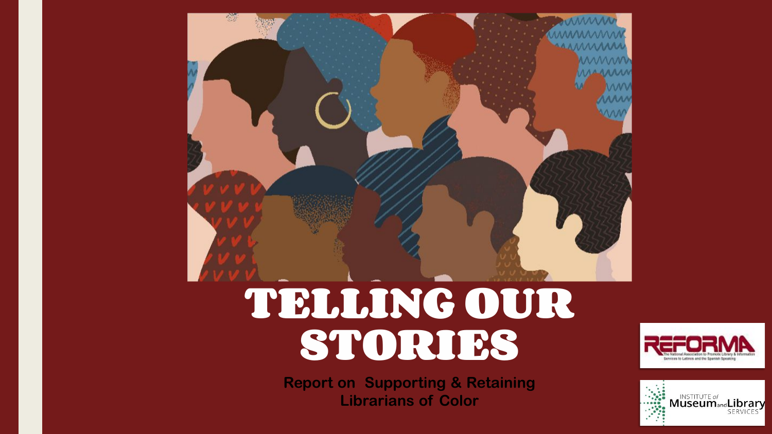

**Report on Supporting & Retaining Librarians of Color**





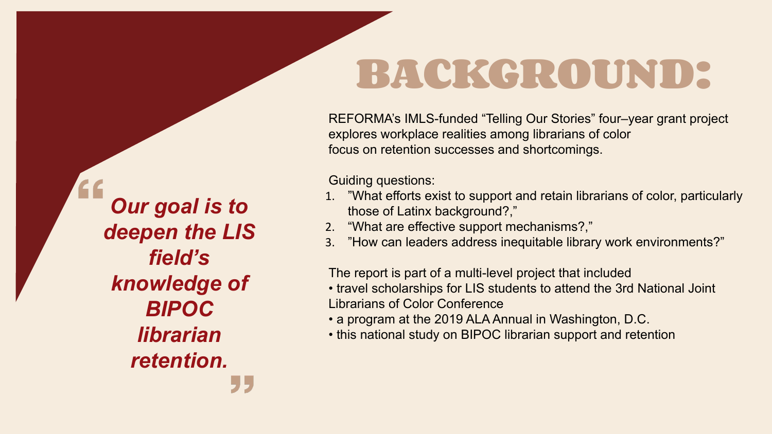# **BACKGROUND:**

REFORMA's IMLS-funded "Telling Our Stories" four–year grant project explores workplace realities among librarians of color focus on retention successes and shortcomings.

Guiding questions:

1. "What efforts exist to support and retain librarians of color, particularly

- those of Latinx background?,"
- 2. "What are effective support mechanisms?,"
- 

3. "How can leaders address inequitable library work environments?"

The report is part of a multi-level project that included

• travel scholarships for LIS students to attend the 3rd National Joint

- Librarians of Color Conference
- 
- 

• a program at the 2019 ALA Annual in Washington, D.C.

• this national study on BIPOC librarian support and retention

*Our goal is to deepen the LIS field's knowledge of BIPOC librarian retention.*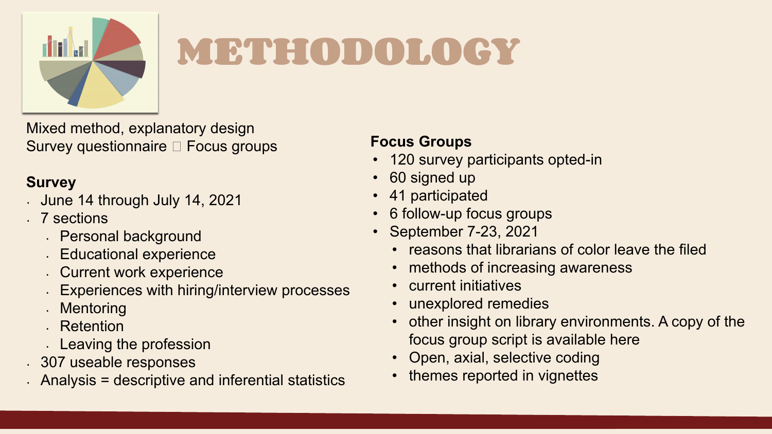

# **METHODOLOGY**

Mixed method, explanatory design Survey questionnaire Focus groups

### **Survey**

- June 14 through July 14, 2021
- 7 sections
	- Personal background
	- **Educational experience**
	- Current work experience
	- Experiences with hiring/interview processes
	- **Mentoring**
	- Retention
	- Leaving the profession
- 307 useable responses
- Analysis = descriptive and inferential statistics

### **Focus Groups**

• 120 survey participants opted-in

- 
- 60 signed up
- 41 participated
- 6 follow-up focus groups
- September 7-23, 2021
	-
	-
	- current initiatives
	- unexplored remedies
	-
	-
	-



• reasons that librarians of color leave the filed

methods of increasing awareness

other insight on library environments. A copy of the

focus group script is available here

• Open, axial, selective coding

• themes reported in vignettes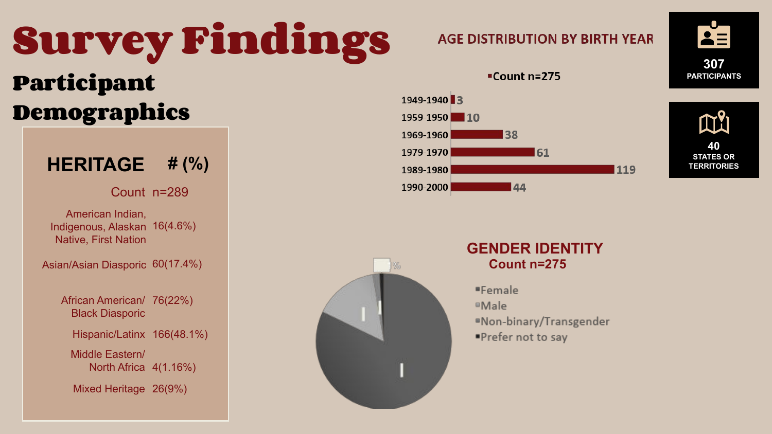# **Survey Findings Participant Demographics**





Count n=289

American Indian, Indigenous, Alaskan 16(4.6%) Native, First Nation

Asian/Asian Diasporic 60(17.4%)

African American/ 76(22%) Black Diasporic

Hispanic/Latinx 166(48.1%)

Middle Eastern/ North Africa 4(1.16%)

Mixed Heritage 26(9%)

### **GENDER IDENTITY Count n=275**

"Female

- <sup>®</sup>Male
- "Non-binary/Transgender
- ■Prefer not to say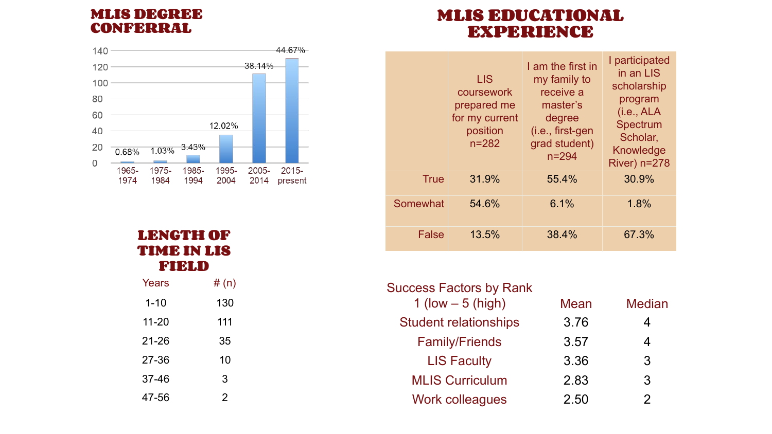### **MLIS DEGREE CONFERRAL**



| Years     | #(n) |  |
|-----------|------|--|
| $1 - 10$  | 130  |  |
| 11-20     | 111  |  |
| $21 - 26$ | 35   |  |
| 27-36     | 10   |  |
| 37-46     | 3    |  |
| 47-56     | 2    |  |

### **LENGTH OF TIME IN LIS FIELD**

### **MLIS EDUCATIONAL EXPERIENCE**

|              | <b>LIS</b><br>coursework<br>prepared me<br>for my current<br>position<br>$n = 282$ | I am the first in<br>my family to<br>receive a<br>master's<br>degree<br>(i.e., first-gen<br>grad student)<br>$n = 294$ | I participated<br>in an LIS<br>scholarship<br>program<br>(i.e., ALA<br>Spectrum<br>Scholar,<br>Knowledge<br><b>River) n=278</b> |
|--------------|------------------------------------------------------------------------------------|------------------------------------------------------------------------------------------------------------------------|---------------------------------------------------------------------------------------------------------------------------------|
| <b>True</b>  | 31.9%                                                                              | 55.4%                                                                                                                  | 30.9%                                                                                                                           |
| Somewhat     | 54.6%                                                                              | 6.1%                                                                                                                   | 1.8%                                                                                                                            |
| <b>False</b> | 13.5%                                                                              | 38.4%                                                                                                                  | 67.3%                                                                                                                           |

| <b>Success Factors by Rank</b> |             |               |
|--------------------------------|-------------|---------------|
| 1 (low $-5$ (high)             | <b>Mean</b> | <b>Median</b> |
| <b>Student relationships</b>   | 3.76        | 4             |
| <b>Family/Friends</b>          | 3.57        | 4             |
| <b>LIS Faculty</b>             | 3.36        | 3             |
| <b>MLIS Curriculum</b>         | 2.83        | 3             |
| <b>Work colleagues</b>         | 2.50        | $\mathcal{P}$ |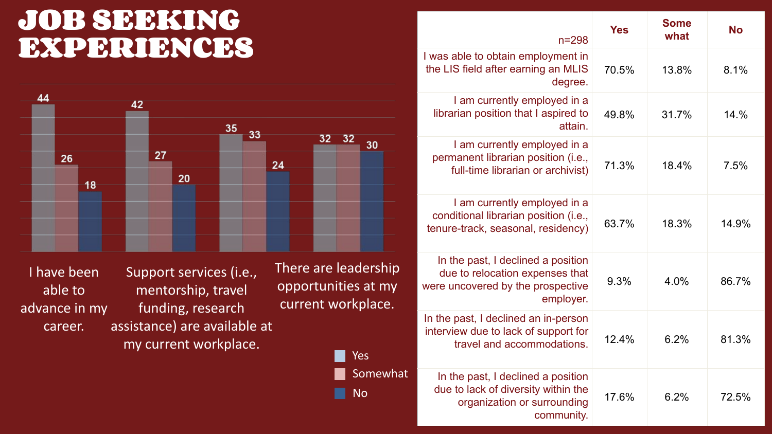| $n = 298$                                                                                       | <b>Yes</b> | <b>Some</b><br>what | <b>No</b> |
|-------------------------------------------------------------------------------------------------|------------|---------------------|-----------|
| o obtain employment in<br><b>after earning an MLIS</b><br>degree.                               | 70.5%      | 13.8%               | 8.1%      |
| currently employed in a<br>osition that I aspired to<br>attain.                                 | 49.8%      | 31.7%               | 14.%      |
| currently employed in a<br>t librarian position (i.e.,<br>e librarian or archivist)             | 71.3%      | 18.4%               | 7.5%      |
| currently employed in a<br>I librarian position (i.e.,<br>k, seasonal, residency)               | 63.7%      | 18.3%               | 14.9%     |
| st, I declined a position<br>location expenses that<br>red by the prospective<br>employer.      | 9.3%       | 4.0%                | 86.7%     |
| I declined an in-person<br>e to lack of support for<br>and accommodations.                      | $12.4\%$   | 6.2%                | 81.3%     |
| st, I declined a position<br>k of diversity within the<br>nization or surrounding<br>community. | 17.6%      | 6.2%                | 72.5%     |

I have been able to advance in my career.

Support services (i.e., mentorship, travel funding, research assistance) are available at my current workplace.

There are leadership opportunities at my current workplace.

## **JOB SEEKING EXPERIENCES**





I was able to the LIS field

> $I$  am  $C$ librarian pe

> I am currently permanent full-tim

 $I$  am  $C$ conditional tenure-track

In the pas due to re were uncove

In the past, interview du travel

> In the pas due to lack organ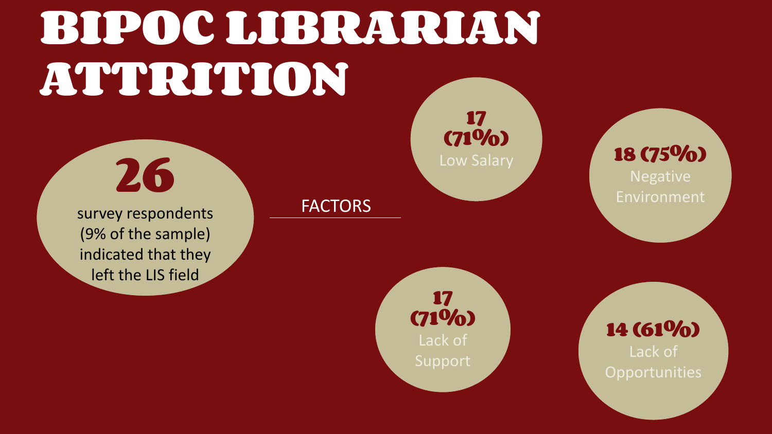# **BIPOC LIBRARIAN ATTRITION**

**26**

survey respondents (9% of the sample) indicated that they left the LIS field

### **FACTORS**

Lack of **Opportunities** 

## **17 (71%)**



## **14 (61%)**

**17 (71%)** Lack of Support

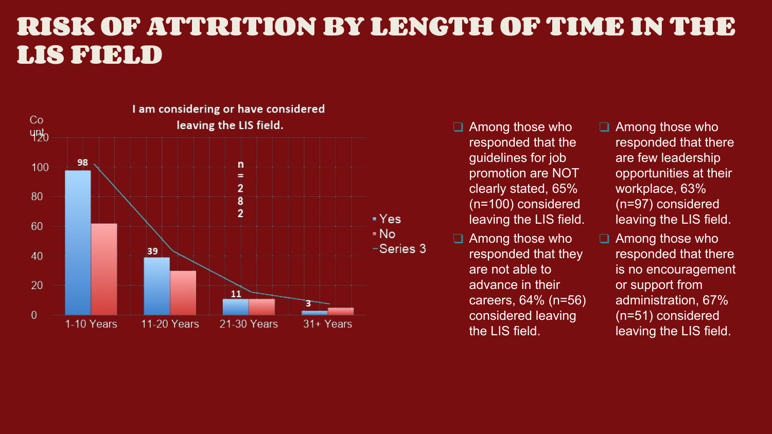## **RISK OF ATTRITION BY LENGTH OF TIME IN THE LIS FIELD**



□ Among those who responded that the guidelines for job promotion are NOT clearly stated, 65% (n=100) considered leaving the LIS field. □ Among those who responded that there are few leadership opportunities at their workplace, 63% (n=97) considered leaving the LIS field.

□ Among those who responded that there is no encouragement or support from administration, 67% (n=51) considered leaving the LIS field.

□ Among those who responded that they are not able to advance in their careers, 64% (n=56) considered leaving the LIS field.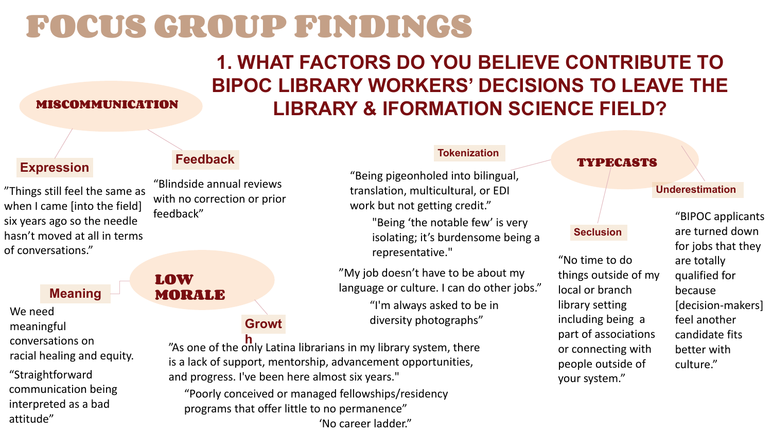# **FOCUS GROUP FINDINGS**

## **1. WHAT FACTORS DO YOU BELIEVE CONTRIBUTE TO BIPOC LIBRARY WORKERS' DECISIONS TO LEAVE THE LIBRARY & IFORMATION SCIENCE FIELD? MISCOMMUNICATION**

"Straightforward communication being interpreted as a bad attitude"

"Blindside annual reviews with no correction or prior feedback"

### **Tokenization**

### **Seclusion**

### **Underestimation**

**Expression Feedback TYPECASTS** "Being pigeonholed into bilingual, translation, multicultural, or EDI work but not getting credit." "Being 'the notable few' is very isolating; it's burdensome being a representative."

> "My job doesn't have to be about my language or culture. I can do other jobs."

> > "I'm always asked to be in diversity photographs"

"No time to do things outside of my local or branch library setting including being a part of associations or connecting with people outside of your system."

"BIPOC applicants are turned down for jobs that they are totally qualified for because [decision-makers] feel another candidate fits better with culture."



### **Growt**

**h** "As one of the only Latina librarians in my library system, there is a lack of support, mentorship, advancement opportunities, and progress. I've been here almost six years."

"Poorly conceived or managed fellowships/residency programs that offer little to no permanence"

'No career ladder."

We need meaningful conversations on racial healing and equity.

"Things still feel the same as when I came [into the field] six years ago so the needle hasn't moved at all in terms of conversations."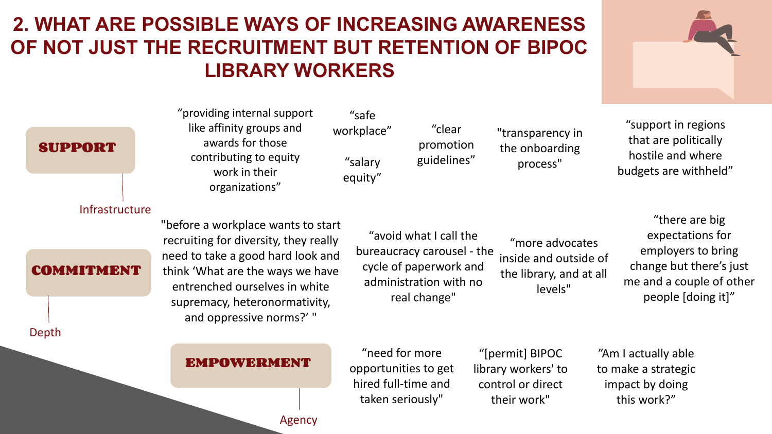## **2. WHAT ARE POSSIBLE WAYS OF INCREASING AWARENESS OF NOT JUST THE RECRUITMENT BUT RETENTION OF BIPOC LIBRARY WORKERS**

### **EMPOWERMENT**

# **SUPPORT** COMMITMINNI Infrastructure Depth

Agency



"providing internal support like affinity groups and awards for those contributing to equity work in their organizations"

"safe workplace" "salary equity"

"clear promotion guidelines"

"transparency in the onboarding process"

"support in regions that are politically hostile and where budgets are withheld"

"before a workplace wants to start recruiting for diversity, they really need to take a good hard look and think 'What are the ways we have entrenched ourselves in white supremacy, heteronormativity, and oppressive norms?' "

"avoid what I call the bureaucracy carousel - the cycle of paperwork and administration with no real change" "more advocates inside and outside of the library, and at all levels"

"there are big expectations for employers to bring change but there's just me and a couple of other people [doing it]"

"need for more opportunities to get hired full-time and taken seriously"

"[permit] BIPOC library workers' to control or direct their work"

"Am I actually able to make a strategic impact by doing this work?"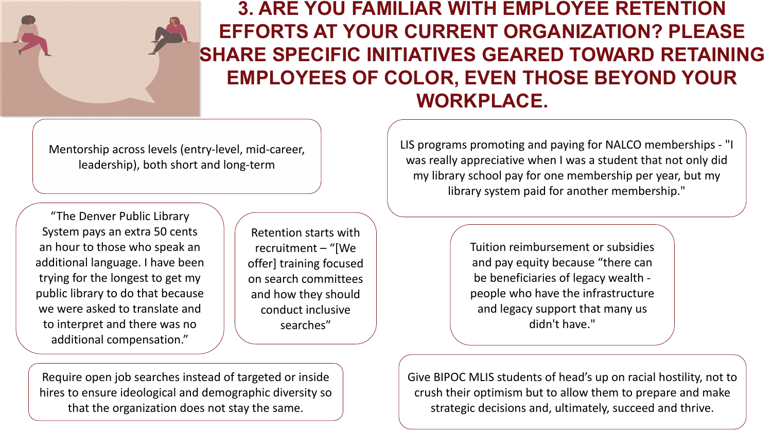Mentorship across levels (entry-level, mid-career, leadership), both short and long-term

### **3. ARE YOU FAMILIAR WITH EMPLOYEE RETENTION EFFORTS AT YOUR CURRENT ORGANIZATION? PLEASE SHARE SPECIFIC INITIATIVES GEARED TOWARD RETAINING EMPLOYEES OF COLOR, EVEN THOSE BEYOND YOUR WORKPLACE.**

Retention starts with recruitment – "[We offer] training focused on search committees and how they should conduct inclusive searches"

Require open job searches instead of targeted or inside hires to ensure ideological and demographic diversity so that the organization does not stay the same.

Give BIPOC MLIS students of head's up on racial hostility, not to crush their optimism but to allow them to prepare and make strategic decisions and, ultimately, succeed and thrive.

"The Denver Public Library System pays an extra 50 cents an hour to those who speak an additional language. I have been trying for the longest to get my public library to do that because we were asked to translate and to interpret and there was no additional compensation."

LIS programs promoting and paying for NALCO memberships - "I was really appreciative when I was a student that not only did my library school pay for one membership per year, but my library system paid for another membership."

> Tuition reimbursement or subsidies and pay equity because "there can be beneficiaries of legacy wealth people who have the infrastructure and legacy support that many us didn't have."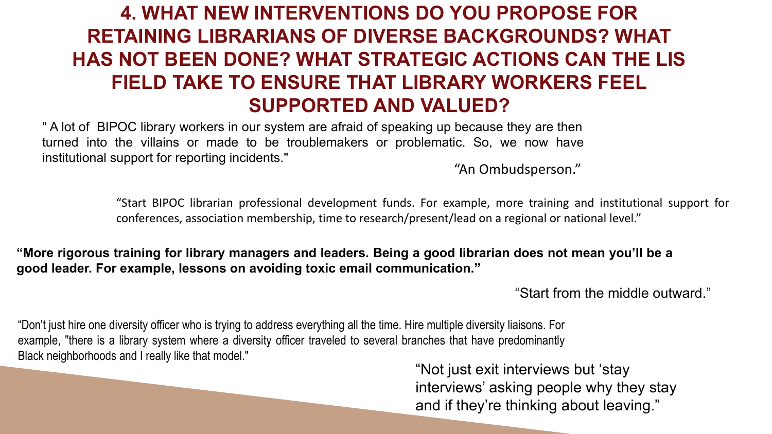## **4. WHAT NEW INTERVENTIONS DO YOU PROPOSE FOR RETAINING LIBRARIANS OF DIVERSE BACKGROUNDS? WHAT HAS NOT BEEN DONE? WHAT STRATEGIC ACTIONS CAN THE LIS FIELD TAKE TO ENSURE THAT LIBRARY WORKERS FEEL SUPPORTED AND VALUED?**

" A lot of BIPOC library workers in our system are afraid of speaking up because they are then turned into the villains or made to be troublemakers or problematic. So, we now have institutional support for reporting incidents."

"An Ombudsperson."

"Start BIPOC librarian professional development funds. For example, more training and institutional support for conferences, association membership, time to research/present/lead on a regional or national level."

### **"More rigorous training for library managers and leaders. Being a good librarian does not mean you'll be a good leader. For example, lessons on avoiding toxic email communication."**

"Start from the middle outward."

"Don't just hire one diversity officer who is trying to address everything all the time. Hire multiple diversity liaisons. For example, "there is a library system where a diversity officer traveled to several branches that have predominantly Black neighborhoods and I really like that model."

"Not just exit interviews but 'stay interviews' asking people why they stay and if they're thinking about leaving."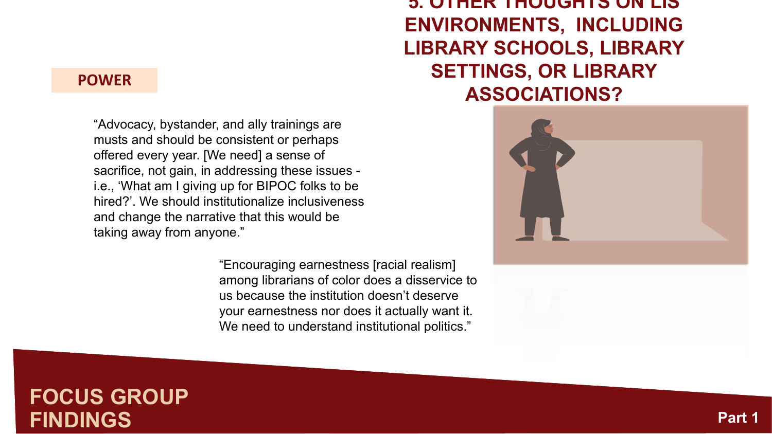### **5. OTHER THOUGHTS ON LIS ENVIRONMENTS, INCLUDING LIBRARY SCHOOLS, LIBRARY SETTINGS, OR LIBRARY ASSOCIATIONS?**



### **FOCUS GROUP FINDINGS**

### **POWER**

"Encouraging earnestness [racial realism] among librarians of color does a disservice to us because the institution doesn't deserve your earnestness nor does it actually want it. We need to understand institutional politics."

"Advocacy, bystander, and ally trainings are musts and should be consistent or perhaps offered every year. [We need] a sense of sacrifice, not gain, in addressing these issues i.e., 'What am I giving up for BIPOC folks to be hired?'. We should institutionalize inclusiveness and change the narrative that this would be taking away from anyone."

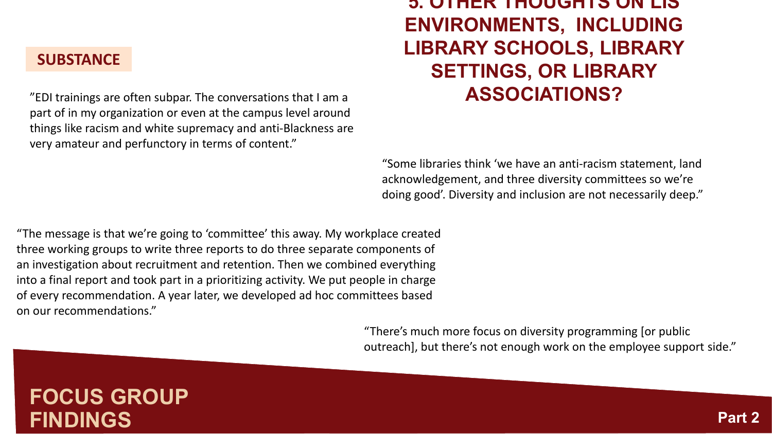### **5. OTHER THOUGHTS ON LIS ENVIRONMENTS, INCLUDING LIBRARY SCHOOLS, LIBRARY SETTINGS, OR LIBRARY ASSOCIATIONS?**

## **FOCUS GROUP FINDINGS**

### **SUBSTANCE**



"EDI trainings are often subpar. The conversations that I am a part of in my organization or even at the campus level around things like racism and white supremacy and anti-Blackness are very amateur and perfunctory in terms of content."

"Some libraries think 'we have an anti-racism statement, land acknowledgement, and three diversity committees so we're doing good'. Diversity and inclusion are not necessarily deep."

"There's much more focus on diversity programming [or public outreach], but there's not enough work on the employee support side."

"The message is that we're going to 'committee' this away. My workplace created three working groups to write three reports to do three separate components of an investigation about recruitment and retention. Then we combined everything into a final report and took part in a prioritizing activity. We put people in charge of every recommendation. A year later, we developed ad hoc committees based on our recommendations."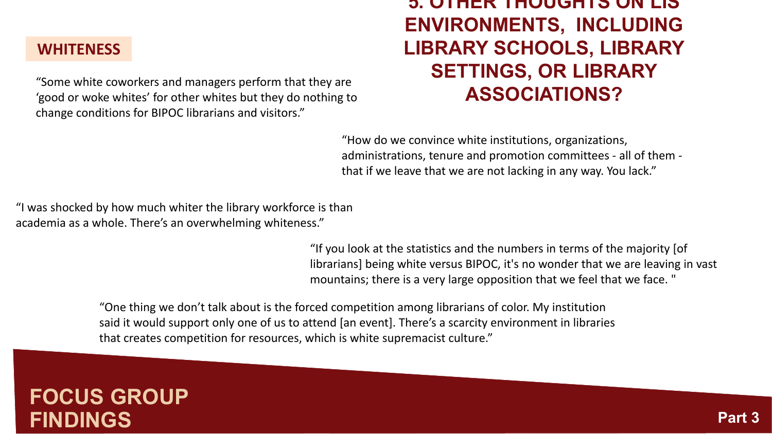### **5. OTHER THOUGHTS ON LIS ENVIRONMENTS, INCLUDING LIBRARY SCHOOLS, LIBRARY SETTINGS, OR LIBRARY ASSOCIATIONS?**

## **FOCUS GROUP FINDINGS**

### **WHITENESS**



"Some white coworkers and managers perform that they are 'good or woke whites' for other whites but they do nothing to change conditions for BIPOC librarians and visitors."

"How do we convince white institutions, organizations, administrations, tenure and promotion committees - all of them that if we leave that we are not lacking in any way. You lack."

"I was shocked by how much whiter the library workforce is than academia as a whole. There's an overwhelming whiteness."

> "If you look at the statistics and the numbers in terms of the majority [of librarians] being white versus BIPOC, it's no wonder that we are leaving in vast mountains; there is a very large opposition that we feel that we face. "

"One thing we don't talk about is the forced competition among librarians of color. My institution said it would support only one of us to attend [an event]. There's a scarcity environment in libraries that creates competition for resources, which is white supremacist culture."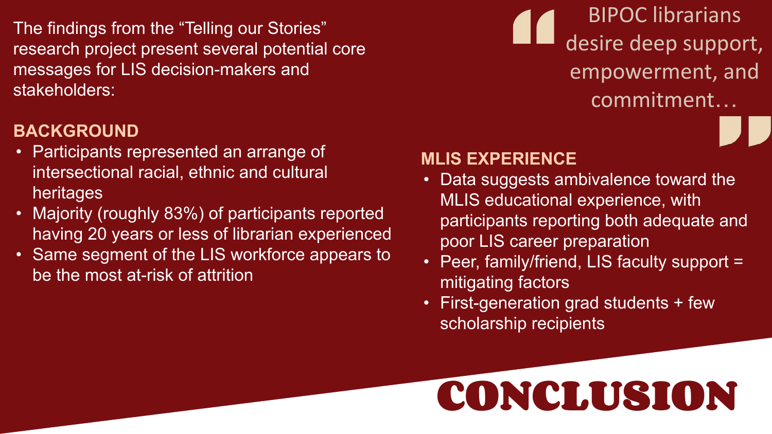# **CONCLUSION**

The findings from the "Telling our Stories" research project present several potential core messages for LIS decision-makers and stakeholders:

### **BACKGROUND**

- Participants represented an arrange of intersectional racial, ethnic and cultural heritages
- Majority (roughly 83%) of participants reported having 20 years or less of librarian experienced
- Same segment of the LIS workforce appears to be the most at-risk of attrition

## BIPOC librarians desire deep support, empowerment, and commitment…

### **MLIS EXPERIENCE**

- MLIS educational experience, with participants reporting both adequate and poor LIS career preparation mitigating factors
- Data suggests ambivalence toward the • Peer, family/friend, LIS faculty support = • First-generation grad students + few
- scholarship recipients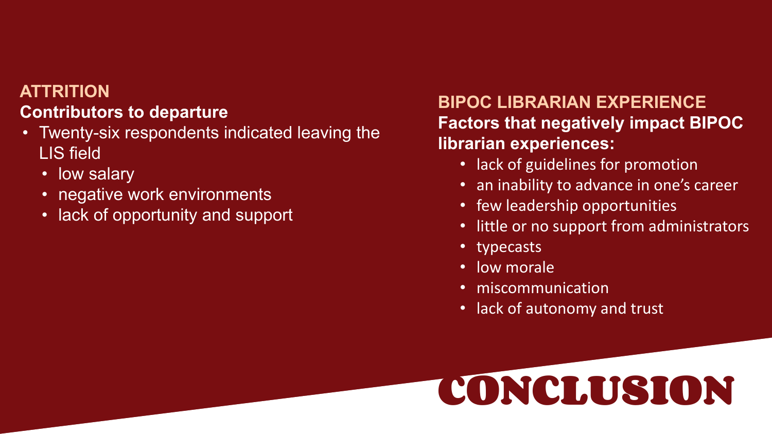# **CONCLUSION**

### **ATTRITION Contributors to departure**

- Twenty-six respondents indicated leaving the LIS field
	- low salary
	- negative work environments
	- lack of opportunity and support

### **BIPOC LIBRARIAN EXPERIENCE Factors that negatively impact BIPOC librarian experiences:**

- 
- 
- lack of guidelines for promotion • an inability to advance in one's career • few leadership opportunities
- little or no support from administrators
- typecasts
- low morale
- miscommunication
- lack of autonomy and trust